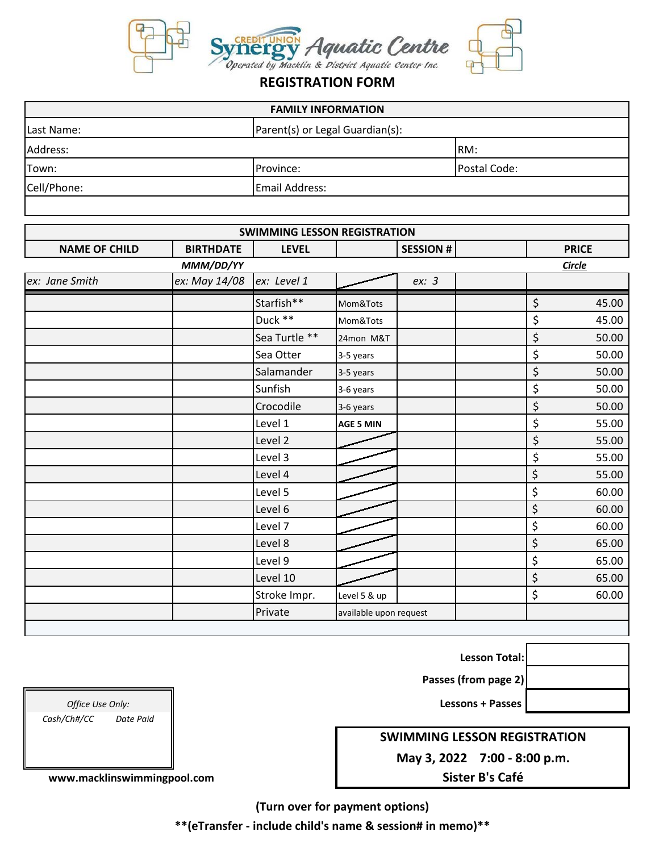

## **REGISTRATION FORM**

| <b>FAMILY INFORMATION</b> |                                 |  |  |  |
|---------------------------|---------------------------------|--|--|--|
|                           | Parent(s) or Legal Guardian(s): |  |  |  |
|                           | RM:                             |  |  |  |
| Province:                 | Postal Code:                    |  |  |  |
| Email Address:            |                                 |  |  |  |
|                           |                                 |  |  |  |

| <b>SWIMMING LESSON REGISTRATION</b> |                  |               |                        |                 |    |               |
|-------------------------------------|------------------|---------------|------------------------|-----------------|----|---------------|
| <b>NAME OF CHILD</b>                | <b>BIRTHDATE</b> | <b>LEVEL</b>  |                        | <b>SESSION#</b> |    | <b>PRICE</b>  |
|                                     | MMM/DD/YY        |               |                        |                 |    | <b>Circle</b> |
| ex: Jane Smith                      | ex: May 14/08    | ex: Level 1   |                        | ex: 3           |    |               |
|                                     |                  | Starfish**    | Mom&Tots               |                 | \$ | 45.00         |
|                                     |                  | Duck **       | Mom&Tots               |                 | \$ | 45.00         |
|                                     |                  | Sea Turtle ** | 24mon M&T              |                 | \$ | 50.00         |
|                                     |                  | Sea Otter     | 3-5 years              |                 | \$ | 50.00         |
|                                     |                  | Salamander    | 3-5 years              |                 | \$ | 50.00         |
|                                     |                  | Sunfish       | 3-6 years              |                 | \$ | 50.00         |
|                                     |                  | Crocodile     | 3-6 years              |                 | \$ | 50.00         |
|                                     |                  | Level 1       | <b>AGE 5 MIN</b>       |                 | \$ | 55.00         |
|                                     |                  | Level 2       |                        |                 | \$ | 55.00         |
|                                     |                  | Level 3       |                        |                 | \$ | 55.00         |
|                                     |                  | Level 4       |                        |                 | \$ | 55.00         |
|                                     |                  | Level 5       |                        |                 | \$ | 60.00         |
|                                     |                  | Level 6       |                        |                 | \$ | 60.00         |
|                                     |                  | Level 7       |                        |                 | \$ | 60.00         |
|                                     |                  | Level 8       |                        |                 | \$ | 65.00         |
|                                     |                  | Level 9       |                        |                 | \$ | 65.00         |
|                                     |                  | Level 10      |                        |                 | \$ | 65.00         |
|                                     |                  | Stroke Impr.  | Level 5 & up           |                 | \$ | 60.00         |
|                                     |                  | Private       | available upon request |                 |    |               |

**Lesson Total:**

**Passes (from page 2)**

*Office Use Only:* **Lessons + Passes** 

**SWIMMING LESSON REGISTRATION**

**May 3, 2022 7:00 - 8:00 p.m.**

**Sister B's Café**

**(Turn over for payment options)**

**\*\*(eTransfer - include child's name & session# in memo)\*\***

*Cash/Ch#/CC Date Paid*

 **www.macklinswimmingpool.com**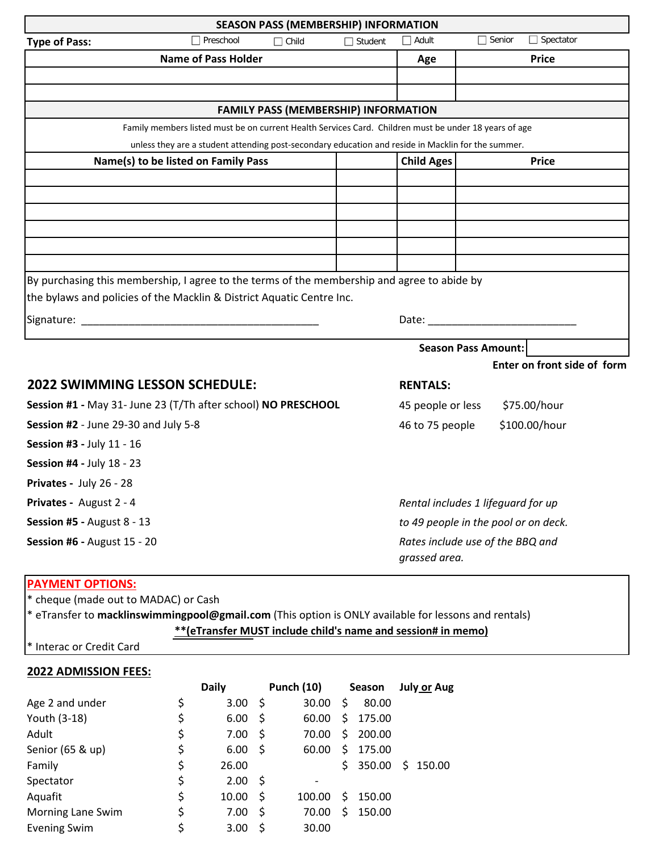| <b>SEASON PASS (MEMBERSHIP) INFORMATION</b>                                                                    |                                                           |                 |  |  |  |
|----------------------------------------------------------------------------------------------------------------|-----------------------------------------------------------|-----------------|--|--|--|
| $\Box$ Preschool<br>$\Box$ Child<br><b>Type of Pass:</b><br>$\Box$ Student                                     | $\Box$ Spectator<br>$\Box$ Adult<br>$\Box$ Senior         |                 |  |  |  |
| <b>Name of Pass Holder</b>                                                                                     | <b>Price</b><br>Age                                       |                 |  |  |  |
|                                                                                                                |                                                           |                 |  |  |  |
|                                                                                                                |                                                           |                 |  |  |  |
| FAMILY PASS (MEMBERSHIP) INFORMATION                                                                           |                                                           |                 |  |  |  |
| Family members listed must be on current Health Services Card. Children must be under 18 years of age          |                                                           |                 |  |  |  |
| unless they are a student attending post-secondary education and reside in Macklin for the summer.             |                                                           |                 |  |  |  |
| Name(s) to be listed on Family Pass                                                                            | <b>Child Ages</b><br><b>Price</b>                         |                 |  |  |  |
|                                                                                                                |                                                           |                 |  |  |  |
|                                                                                                                |                                                           |                 |  |  |  |
|                                                                                                                |                                                           |                 |  |  |  |
|                                                                                                                |                                                           |                 |  |  |  |
|                                                                                                                |                                                           |                 |  |  |  |
| By purchasing this membership, I agree to the terms of the membership and agree to abide by                    |                                                           |                 |  |  |  |
| the bylaws and policies of the Macklin & District Aquatic Centre Inc.                                          |                                                           |                 |  |  |  |
| Signature: National Accounts and Accounts and Accounts and Accounts and Accounts and Accounts and Accounts and | Date: Date:                                               |                 |  |  |  |
|                                                                                                                |                                                           |                 |  |  |  |
|                                                                                                                | <b>Season Pass Amount:</b><br>Enter on front side of form |                 |  |  |  |
|                                                                                                                |                                                           |                 |  |  |  |
| <b>2022 SWIMMING LESSON SCHEDULE:</b>                                                                          |                                                           | <b>RENTALS:</b> |  |  |  |
| Session #1 - May 31- June 23 (T/Th after school) NO PRESCHOOL                                                  | \$75.00/hour<br>45 people or less                         |                 |  |  |  |
| Session #2 - June 29-30 and July 5-8                                                                           | 46 to 75 people<br>\$100.00/hour                          |                 |  |  |  |
| Session #3 - July 11 - 16                                                                                      |                                                           |                 |  |  |  |
| <b>Session #4 - July 18 - 23</b>                                                                               |                                                           |                 |  |  |  |
| Privates - July 26 - 28                                                                                        |                                                           |                 |  |  |  |
| Privates - August 2 - 4                                                                                        | Rental includes 1 lifequard for up                        |                 |  |  |  |
| Session #5 - August 8 - 13                                                                                     | to 49 people in the pool or on deck.                      |                 |  |  |  |
| <b>Session #6 - August 15 - 20</b>                                                                             | Rates include use of the BBQ and                          |                 |  |  |  |
|                                                                                                                | grassed area.                                             |                 |  |  |  |

## **PAYMENT OPTIONS:**

\* cheque (made out to MADAC) or Cash

\* eTransfer to **macklinswimmingpool@gmail.com** (This option is ONLY available for lessons and rentals) **\*\*(eTransfer MUST include child's name and session# in memo)**

\* Interac or Credit Card

## **2022 ADMISSION FEES:**

|                     | <b>Daily</b> |      | <b>Punch (10)</b> |     | Season | <b>July or Aug</b> |
|---------------------|--------------|------|-------------------|-----|--------|--------------------|
| Age 2 and under     | \$<br>3.00   | -\$  | 30.00             | S   | 80.00  |                    |
| Youth (3-18)        | \$<br>6.00   | \$   | 60.00             | \$  | 175.00 |                    |
| Adult               | \$<br>7.00   | \$   | 70.00             | \$. | 200.00 |                    |
| Senior (65 & up)    | \$<br>6.00   | -\$  | 60.00             | \$  | 175.00 |                    |
| Family              | \$<br>26.00  |      |                   | S.  | 350.00 | S.<br>150.00       |
| Spectator           | \$<br>2.00   | - \$ | $\qquad \qquad$   |     |        |                    |
| Aquafit             | \$<br>10.00  | \$   | 100.00            | S.  | 150.00 |                    |
| Morning Lane Swim   | \$<br>7.00   | \$   | 70.00             | \$  | 150.00 |                    |
| <b>Evening Swim</b> | \$<br>3.00   | S    | 30.00             |     |        |                    |